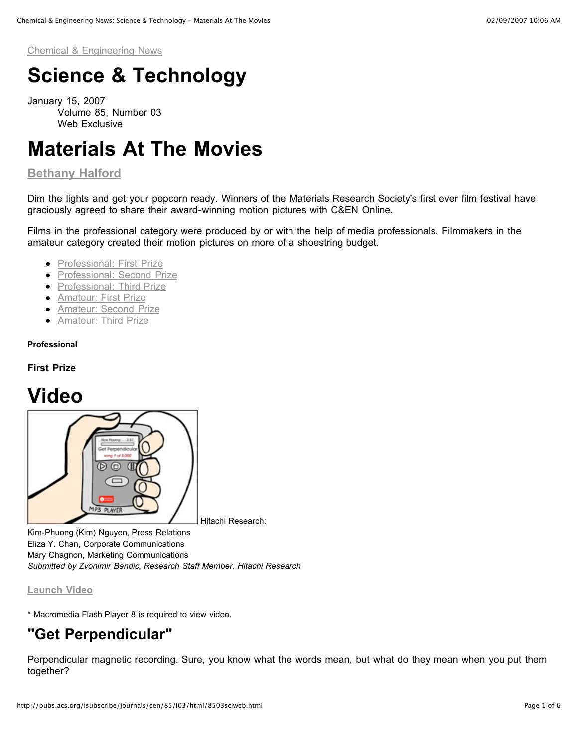Chemical & Engineering News

# **Science & Technology**

January 15, 2007 Volume 85, Number 03 Web Exclusive

# **Materials At The Movies**

### **Bethany Halford**

Dim the lights and get your popcorn ready. Winners of the Materials Research Society's first ever film festival have graciously agreed to share their award-winning motion pictures with C&EN Online.

Films in the professional category were produced by or with the help of media professionals. Filmmakers in the amateur category created their motion pictures on more of a shoestring budget.

- Professional: First Prize
- Professional: Second Prize
- Professional: Third Prize
- **•** Amateur: First Prize
- **Amateur: Second Prize**
- **•** Amateur: Third Prize

#### **Professional**

#### **First Prize**

## **Video**



Kim-Phuong (Kim) Nguyen, Press Relations Eliza Y. Chan, Corporate Communications Mary Chagnon, Marketing Communications *Submitted by Zvonimir Bandic, Research Staff Member, Hitachi Research*

#### **Launch Video**

\* Macromedia Flash Player 8 is required to view video.

### **"Get Perpendicular"**

Perpendicular magnetic recording. Sure, you know what the words mean, but what do they mean when you put them together?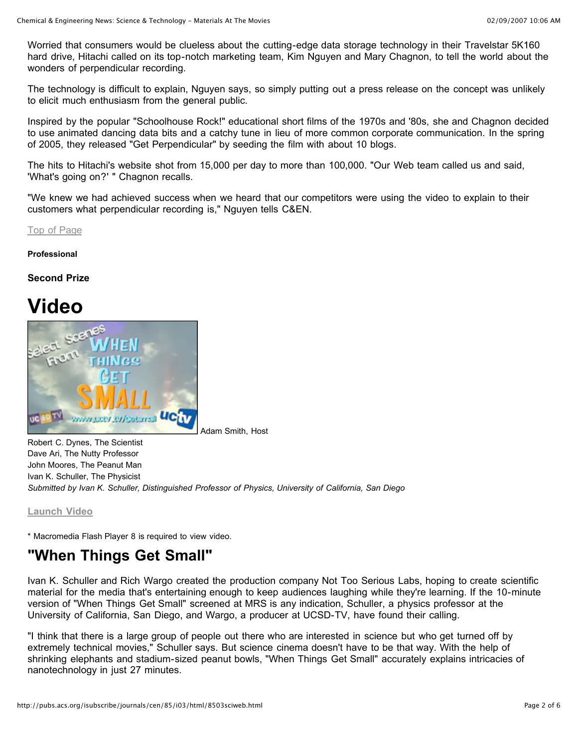Worried that consumers would be clueless about the cutting-edge data storage technology in their Travelstar 5K160 hard drive, Hitachi called on its top-notch marketing team, Kim Nguyen and Mary Chagnon, to tell the world about the wonders of perpendicular recording.

The technology is difficult to explain, Nguyen says, so simply putting out a press release on the concept was unlikely to elicit much enthusiasm from the general public.

Inspired by the popular "Schoolhouse Rock!" educational short films of the 1970s and '80s, she and Chagnon decided to use animated dancing data bits and a catchy tune in lieu of more common corporate communication. In the spring of 2005, they released "Get Perpendicular" by seeding the film with about 10 blogs.

The hits to Hitachi's website shot from 15,000 per day to more than 100,000. "Our Web team called us and said, 'What's going on?' " Chagnon recalls.

"We knew we had achieved success when we heard that our competitors were using the video to explain to their customers what perpendicular recording is," Nguyen tells C&EN.

Top of Page

**Professional**

### **Second Prize**

## **Video**



Adam Smith, Host

Robert C. Dynes, The Scientist Dave Ari, The Nutty Professor John Moores, The Peanut Man Ivan K. Schuller, The Physicist *Submitted by Ivan K. Schuller, Distinguished Professor of Physics, University of California, San Diego*

**Launch Video**

\* Macromedia Flash Player 8 is required to view video.

### **"When Things Get Small"**

Ivan K. Schuller and Rich Wargo created the production company Not Too Serious Labs, hoping to create scientific material for the media that's entertaining enough to keep audiences laughing while they're learning. If the 10-minute version of "When Things Get Small" screened at MRS is any indication, Schuller, a physics professor at the University of California, San Diego, and Wargo, a producer at UCSD-TV, have found their calling.

"I think that there is a large group of people out there who are interested in science but who get turned off by extremely technical movies," Schuller says. But science cinema doesn't have to be that way. With the help of shrinking elephants and stadium-sized peanut bowls, "When Things Get Small" accurately explains intricacies of nanotechnology in just 27 minutes.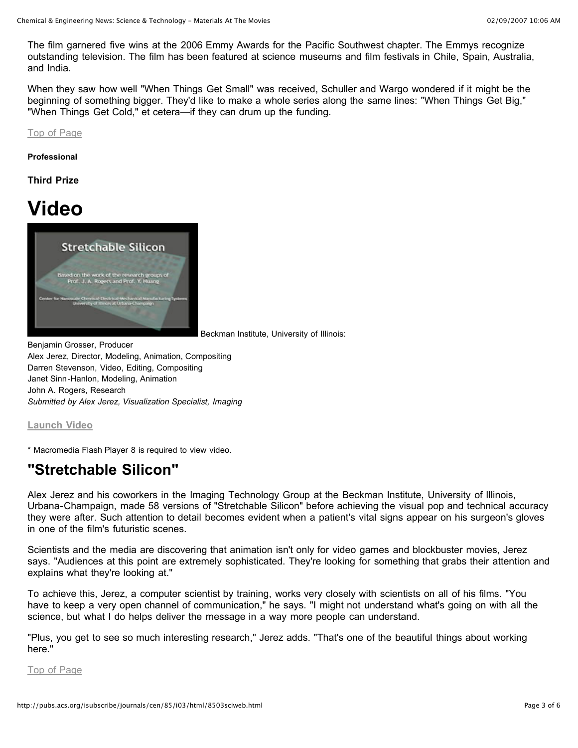The film garnered five wins at the 2006 Emmy Awards for the Pacific Southwest chapter. The Emmys recognize outstanding television. The film has been featured at science museums and film festivals in Chile, Spain, Australia, and India.

When they saw how well "When Things Get Small" was received, Schuller and Wargo wondered if it might be the beginning of something bigger. They'd like to make a whole series along the same lines: "When Things Get Big," "When Things Get Cold," et cetera—if they can drum up the funding.

Top of Page

**Professional**

**Third Prize**

# **Video**



Beckman Institute, University of Illinois:

Benjamin Grosser, Producer Alex Jerez, Director, Modeling, Animation, Compositing Darren Stevenson, Video, Editing, Compositing Janet Sinn-Hanlon, Modeling, Animation John A. Rogers, Research *Submitted by Alex Jerez, Visualization Specialist, Imaging*

**Launch Video**

\* Macromedia Flash Player 8 is required to view video.

### **"Stretchable Silicon"**

Alex Jerez and his coworkers in the Imaging Technology Group at the Beckman Institute, University of Illinois, Urbana-Champaign, made 58 versions of "Stretchable Silicon" before achieving the visual pop and technical accuracy they were after. Such attention to detail becomes evident when a patient's vital signs appear on his surgeon's gloves in one of the film's futuristic scenes.

Scientists and the media are discovering that animation isn't only for video games and blockbuster movies, Jerez says. "Audiences at this point are extremely sophisticated. They're looking for something that grabs their attention and explains what they're looking at."

To achieve this, Jerez, a computer scientist by training, works very closely with scientists on all of his films. "You have to keep a very open channel of communication," he says. "I might not understand what's going on with all the science, but what I do helps deliver the message in a way more people can understand.

"Plus, you get to see so much interesting research," Jerez adds. "That's one of the beautiful things about working here."

Top of Page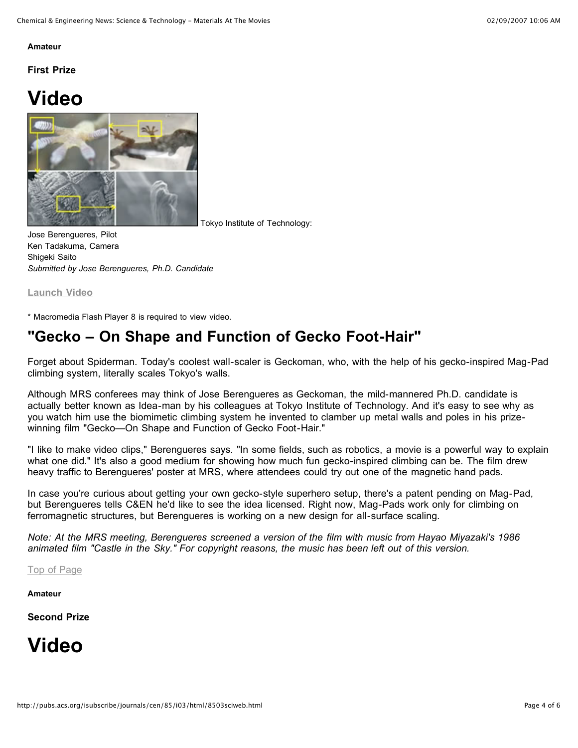#### **Amateur**

**First Prize**

# **Video**



Tokyo Institute of Technology:

Jose Berengueres, Pilot Ken Tadakuma, Camera Shigeki Saito *Submitted by Jose Berengueres, Ph.D. Candidate*

**Launch Video**

\* Macromedia Flash Player 8 is required to view video.

### **"Gecko – On Shape and Function of Gecko Foot-Hair"**

Forget about Spiderman. Today's coolest wall-scaler is Geckoman, who, with the help of his gecko-inspired Mag-Pad climbing system, literally scales Tokyo's walls.

Although MRS conferees may think of Jose Berengueres as Geckoman, the mild-mannered Ph.D. candidate is actually better known as Idea-man by his colleagues at Tokyo Institute of Technology. And it's easy to see why as you watch him use the biomimetic climbing system he invented to clamber up metal walls and poles in his prizewinning film "Gecko—On Shape and Function of Gecko Foot-Hair."

"I like to make video clips," Berengueres says. "In some fields, such as robotics, a movie is a powerful way to explain what one did." It's also a good medium for showing how much fun gecko-inspired climbing can be. The film drew heavy traffic to Berengueres' poster at MRS, where attendees could try out one of the magnetic hand pads.

In case you're curious about getting your own gecko-style superhero setup, there's a patent pending on Mag-Pad, but Berengueres tells C&EN he'd like to see the idea licensed. Right now, Mag-Pads work only for climbing on ferromagnetic structures, but Berengueres is working on a new design for all-surface scaling.

Note: At the MRS meeting, Berengueres screened a version of the film with music from Hayao Miyazaki's 1986 animated film "Castle in the Sky." For copyright reasons, the music has been left out of this version.

Top of Page

**Amateur**

**Second Prize**

# **Video**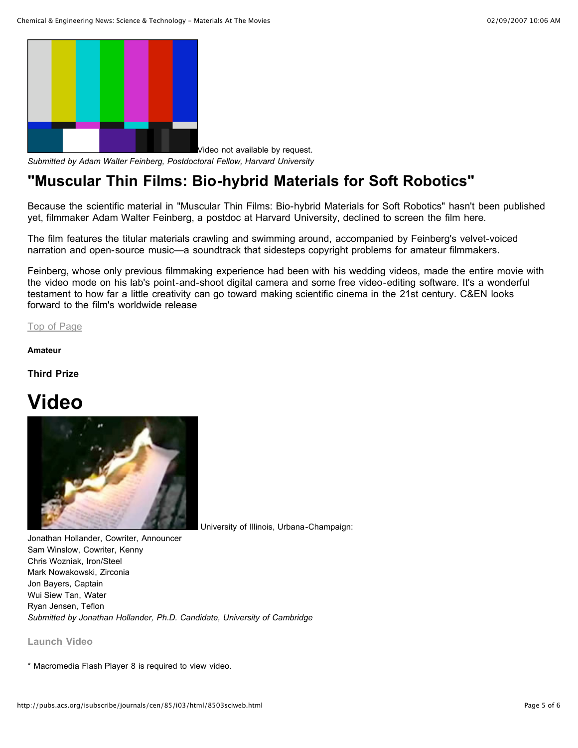

Video not available by request. *Submitted by Adam Walter Feinberg, Postdoctoral Fellow, Harvard University*

### **"Muscular Thin Films: Bio-hybrid Materials for Soft Robotics"**

Because the scientific material in "Muscular Thin Films: Bio-hybrid Materials for Soft Robotics" hasn't been published yet, filmmaker Adam Walter Feinberg, a postdoc at Harvard University, declined to screen the film here.

The film features the titular materials crawling and swimming around, accompanied by Feinberg's velvet-voiced narration and open-source music—a soundtrack that sidesteps copyright problems for amateur filmmakers.

Feinberg, whose only previous filmmaking experience had been with his wedding videos, made the entire movie with the video mode on his lab's point-and-shoot digital camera and some free video-editing software. It's a wonderful testament to how far a little creativity can go toward making scientific cinema in the 21st century. C&EN looks forward to the film's worldwide release

Top of Page

#### **Amateur**

**Third Prize**

# **Video**



University of Illinois, Urbana-Champaign:

Jonathan Hollander, Cowriter, Announcer Sam Winslow, Cowriter, Kenny Chris Wozniak, Iron/Steel Mark Nowakowski, Zirconia Jon Bayers, Captain Wui Siew Tan, Water Ryan Jensen, Teflon *Submitted by Jonathan Hollander, Ph.D. Candidate, University of Cambridge*

#### **Launch Video**

\* Macromedia Flash Player 8 is required to view video.